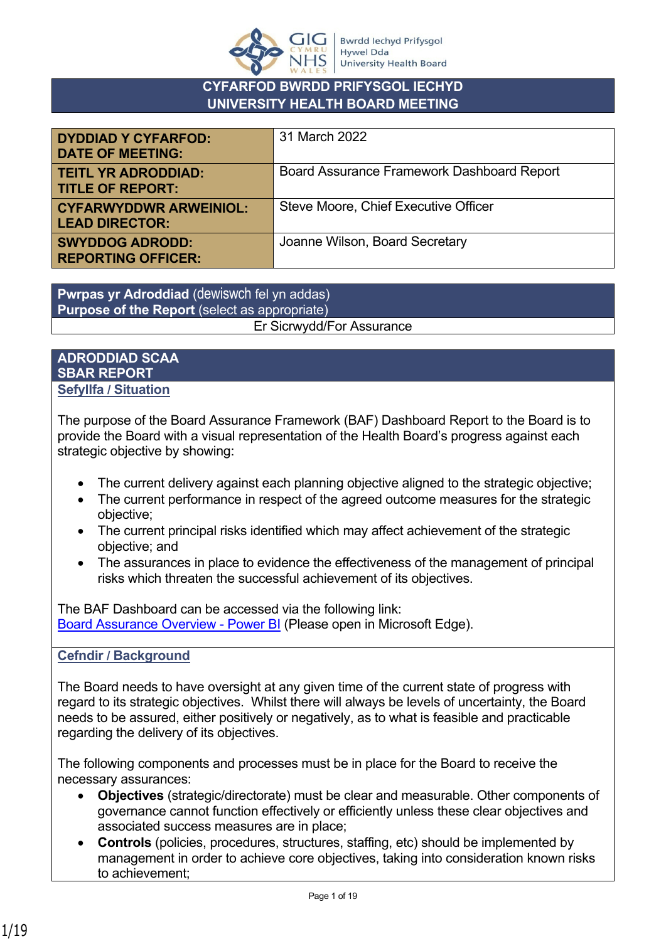

## **CYFARFOD BWRDD PRIFYSGOL IECHYD UNIVERSITY HEALTH BOARD MEETING**

| <b>DYDDIAD Y CYFARFOD:</b><br><b>DATE OF MEETING:</b>  | 31 March 2022                              |
|--------------------------------------------------------|--------------------------------------------|
| <b>TEITL YR ADRODDIAD:</b><br><b>TITLE OF REPORT:</b>  | Board Assurance Framework Dashboard Report |
| <b>CYFARWYDDWR ARWEINIOL:</b><br><b>LEAD DIRECTOR:</b> | Steve Moore, Chief Executive Officer       |
| <b>SWYDDOG ADRODD:</b><br><b>REPORTING OFFICER:</b>    | Joanne Wilson, Board Secretary             |

**Pwrpas yr Adroddiad** (dewiswch fel yn addas) **Purpose of the Report** (select as appropriate) Er Sicrwydd/For Assurance

## **ADRODDIAD SCAA SBAR REPORT Sefyllfa / Situation**

The purpose of the Board Assurance Framework (BAF) Dashboard Report to the Board is to provide the Board with a visual representation of the Health Board's progress against each strategic objective by showing:

- The current delivery against each planning objective aligned to the strategic objective;
- The current performance in respect of the agreed outcome measures for the strategic objective;
- The current principal risks identified which may affect achievement of the strategic objective; and
- The assurances in place to evidence the effectiveness of the management of principal risks which threaten the successful achievement of its objectives.

The BAF Dashboard can be accessed via the following link: [Board Assurance Overview - Power BI](https://www.powerbi.com/view?r=eyJrIjoiYzg0NDdiMzAtYzE3Ni00ZjU0LWIyMjEtMzFiZWJjYjhlNzdmIiwidCI6ImJiNTYyOGI4LWUzMjgtNDA4Mi1hODU2LTQzM2M5ZWRjOGZhZSJ9) (Please open in Microsoft Edge).

## **Cefndir / Background**

The Board needs to have oversight at any given time of the current state of progress with regard to its strategic objectives. Whilst there will always be levels of uncertainty, the Board needs to be assured, either positively or negatively, as to what is feasible and practicable regarding the delivery of its objectives.

The following components and processes must be in place for the Board to receive the necessary assurances:

- **Objectives** (strategic/directorate) must be clear and measurable. Other components of governance cannot function effectively or efficiently unless these clear objectives and associated success measures are in place;
- **Controls** (policies, procedures, structures, staffing, etc) should be implemented by management in order to achieve core objectives, taking into consideration known risks to achievement;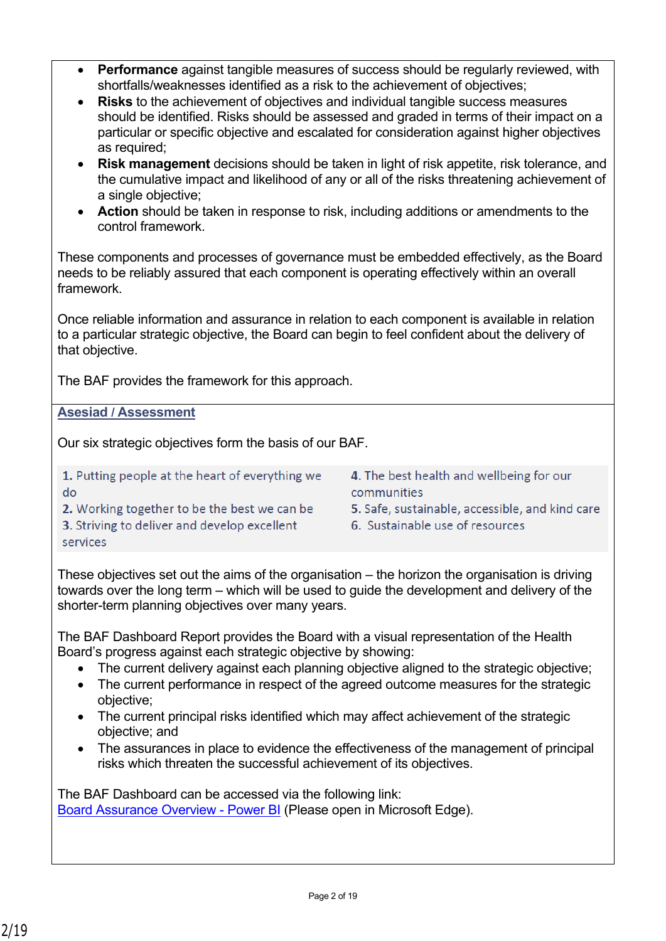- **Performance** against tangible measures of success should be regularly reviewed, with shortfalls/weaknesses identified as a risk to the achievement of objectives;
- **Risks** to the achievement of objectives and individual tangible success measures should be identified. Risks should be assessed and graded in terms of their impact on a particular or specific objective and escalated for consideration against higher objectives as required;
- **Risk management** decisions should be taken in light of risk appetite, risk tolerance, and the cumulative impact and likelihood of any or all of the risks threatening achievement of a single objective;
- **Action** should be taken in response to risk, including additions or amendments to the control framework.

These components and processes of governance must be embedded effectively, as the Board needs to be reliably assured that each component is operating effectively within an overall framework.

Once reliable information and assurance in relation to each component is available in relation to a particular strategic objective, the Board can begin to feel confident about the delivery of that objective.

The BAF provides the framework for this approach.

**Asesiad / Assessment**

Our six strategic objectives form the basis of our BAF.

1. Putting people at the heart of everything we do

2. Working together to be the best we can be

- 
- 4. The best health and wellbeing for our communities
- 5. Safe, sustainable, accessible, and kind care
- 6. Sustainable use of resources

3. Striving to deliver and develop excellent services

These objectives set out the aims of the organisation – the horizon the organisation is driving towards over the long term – which will be used to guide the development and delivery of the shorter-term planning objectives over many years.

The BAF Dashboard Report provides the Board with a visual representation of the Health Board's progress against each strategic objective by showing:

- The current delivery against each planning objective aligned to the strategic objective;
- The current performance in respect of the agreed outcome measures for the strategic objective;
- The current principal risks identified which may affect achievement of the strategic objective; and
- The assurances in place to evidence the effectiveness of the management of principal risks which threaten the successful achievement of its objectives.

The BAF Dashboard can be accessed via the following link: [Board Assurance Overview - Power BI](https://www.powerbi.com/view?r=eyJrIjoiYzg0NDdiMzAtYzE3Ni00ZjU0LWIyMjEtMzFiZWJjYjhlNzdmIiwidCI6ImJiNTYyOGI4LWUzMjgtNDA4Mi1hODU2LTQzM2M5ZWRjOGZhZSJ9) (Please open in Microsoft Edge).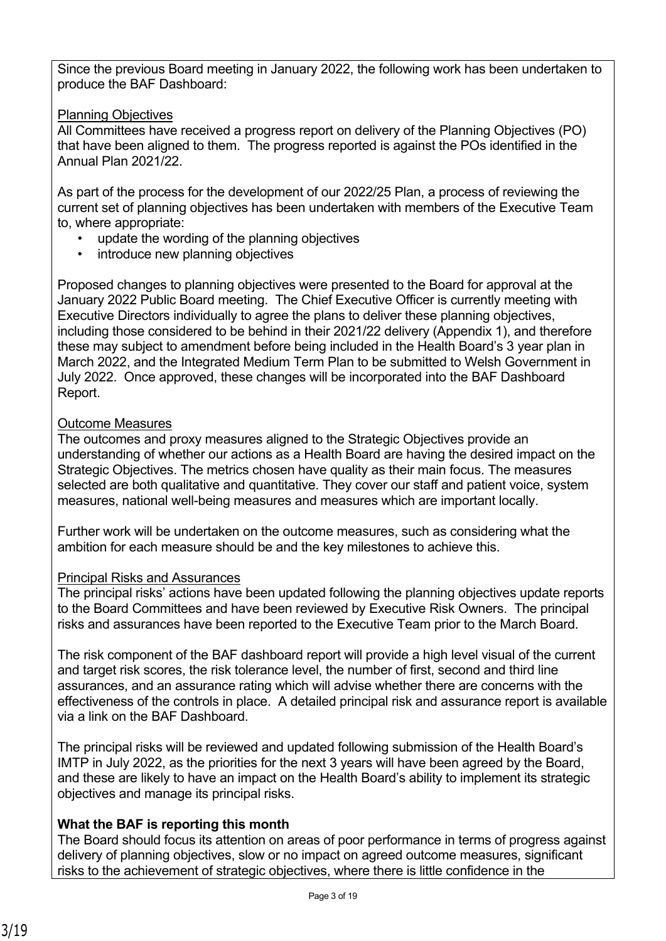Since the previous Board meeting in January 2022, the following work has been undertaken to produce the BAF Dashboard:

## Planning Objectives

All Committees have received a progress report on delivery of the Planning Objectives (PO) that have been aligned to them. The progress reported is against the POs identified in the Annual Plan 2021/22.

As part of the process for the development of our 2022/25 Plan, a process of reviewing the current set of planning objectives has been undertaken with members of the Executive Team to, where appropriate:

- update the wording of the planning objectives
- introduce new planning objectives

Proposed changes to planning objectives were presented to the Board for approval at the January 2022 Public Board meeting. The Chief Executive Officer is currently meeting with Executive Directors individually to agree the plans to deliver these planning objectives, including those considered to be behind in their 2021/22 delivery (Appendix 1), and therefore these may subject to amendment before being included in the Health Board's 3 year plan in March 2022, and the Integrated Medium Term Plan to be submitted to Welsh Government in July 2022. Once approved, these changes will be incorporated into the BAF Dashboard Report.

## Outcome Measures

The outcomes and proxy measures aligned to the Strategic Objectives provide an understanding of whether our actions as a Health Board are having the desired impact on the Strategic Objectives. The metrics chosen have quality as their main focus. The measures selected are both qualitative and quantitative. They cover our staff and patient voice, system measures, national well-being measures and measures which are important locally.

Further work will be undertaken on the outcome measures, such as considering what the ambition for each measure should be and the key milestones to achieve this.

## Principal Risks and Assurances

The principal risks' actions have been updated following the planning objectives update reports to the Board Committees and have been reviewed by Executive Risk Owners. The principal risks and assurances have been reported to the Executive Team prior to the March Board.

The risk component of the BAF dashboard report will provide a high level visual of the current and target risk scores, the risk tolerance level, the number of first, second and third line assurances, and an assurance rating which will advise whether there are concerns with the effectiveness of the controls in place. A detailed principal risk and assurance report is available via a link on the BAF Dashboard.

The principal risks will be reviewed and updated following submission of the Health Board's IMTP in July 2022, as the priorities for the next 3 years will have been agreed by the Board, and these are likely to have an impact on the Health Board's ability to implement its strategic objectives and manage its principal risks.

## **What the BAF is reporting this month**

The Board should focus its attention on areas of poor performance in terms of progress against delivery of planning objectives, slow or no impact on agreed outcome measures, significant risks to the achievement of strategic objectives, where there is little confidence in the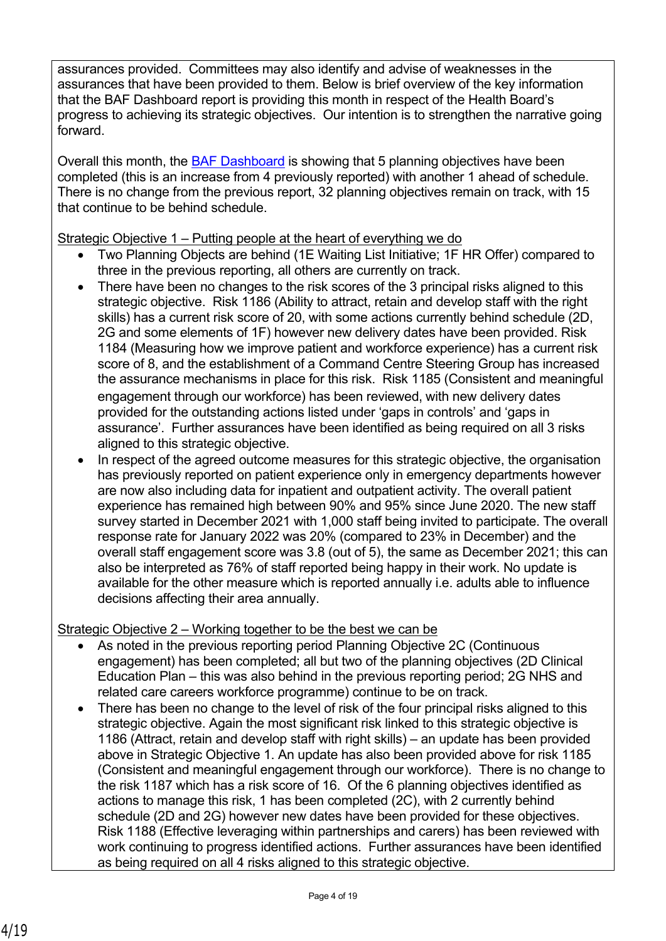assurances provided. Committees may also identify and advise of weaknesses in the assurances that have been provided to them. Below is brief overview of the key information that the BAF Dashboard report is providing this month in respect of the Health Board's progress to achieving its strategic objectives. Our intention is to strengthen the narrative going forward.

Overall this month, the [BAF Dashboard](https://www.powerbi.com/view?r=eyJrIjoiYzg0NDdiMzAtYzE3Ni00ZjU0LWIyMjEtMzFiZWJjYjhlNzdmIiwidCI6ImJiNTYyOGI4LWUzMjgtNDA4Mi1hODU2LTQzM2M5ZWRjOGZhZSJ9) is showing that 5 planning objectives have been completed (this is an increase from 4 previously reported) with another 1 ahead of schedule. There is no change from the previous report, 32 planning objectives remain on track, with 15 that continue to be behind schedule.

Strategic Objective 1 – Putting people at the heart of everything we do

- Two Planning Objects are behind (1E Waiting List Initiative; 1F HR Offer) compared to three in the previous reporting, all others are currently on track.
- There have been no changes to the risk scores of the 3 principal risks aligned to this strategic objective. Risk 1186 (Ability to attract, retain and develop staff with the right skills) has a current risk score of 20, with some actions currently behind schedule (2D, 2G and some elements of 1F) however new delivery dates have been provided. Risk 1184 (Measuring how we improve patient and workforce experience) has a current risk score of 8, and the establishment of a Command Centre Steering Group has increased the assurance mechanisms in place for this risk. Risk 1185 (Consistent and meaningful engagement through our workforce) has been reviewed, with new delivery dates provided for the outstanding actions listed under 'gaps in controls' and 'gaps in assurance'. Further assurances have been identified as being required on all 3 risks aligned to this strategic objective.
- In respect of the agreed outcome measures for this strategic objective, the organisation has previously reported on patient experience only in emergency departments however are now also including data for inpatient and outpatient activity. The overall patient experience has remained high between 90% and 95% since June 2020. The new staff survey started in December 2021 with 1,000 staff being invited to participate. The overall response rate for January 2022 was 20% (compared to 23% in December) and the overall staff engagement score was 3.8 (out of 5), the same as December 2021; this can also be interpreted as 76% of staff reported being happy in their work. No update is available for the other measure which is reported annually i.e. adults able to influence decisions affecting their area annually.

Strategic Objective 2 – Working together to be the best we can be

- As noted in the previous reporting period Planning Objective 2C (Continuous engagement) has been completed; all but two of the planning objectives (2D Clinical Education Plan – this was also behind in the previous reporting period; 2G NHS and related care careers workforce programme) continue to be on track.
- There has been no change to the level of risk of the four principal risks aligned to this strategic objective. Again the most significant risk linked to this strategic objective is 1186 (Attract, retain and develop staff with right skills) – an update has been provided above in Strategic Objective 1. An update has also been provided above for risk 1185 (Consistent and meaningful engagement through our workforce). There is no change to the risk 1187 which has a risk score of 16. Of the 6 planning objectives identified as actions to manage this risk, 1 has been completed (2C), with 2 currently behind schedule (2D and 2G) however new dates have been provided for these objectives. Risk 1188 (Effective leveraging within partnerships and carers) has been reviewed with work continuing to progress identified actions. Further assurances have been identified as being required on all 4 risks aligned to this strategic objective.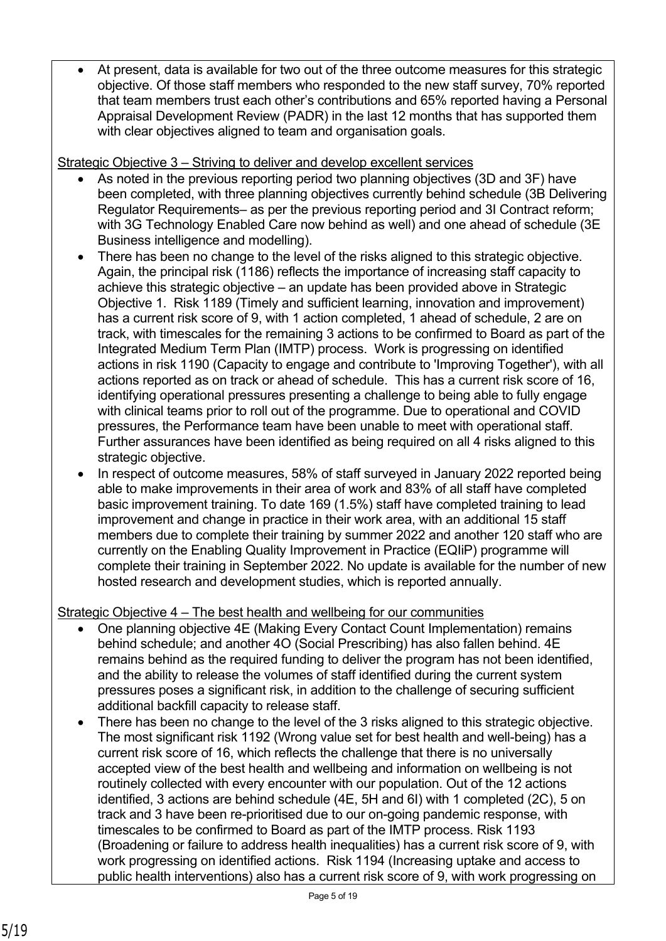At present, data is available for two out of the three outcome measures for this strategic objective. Of those staff members who responded to the new staff survey, 70% reported that team members trust each other's contributions and 65% reported having a Personal Appraisal Development Review (PADR) in the last 12 months that has supported them with clear objectives aligned to team and organisation goals.

Strategic Objective 3 – Striving to deliver and develop excellent services

- As noted in the previous reporting period two planning objectives (3D and 3F) have been completed, with three planning objectives currently behind schedule (3B Delivering Regulator Requirements– as per the previous reporting period and 3I Contract reform; with 3G Technology Enabled Care now behind as well) and one ahead of schedule (3E Business intelligence and modelling).
- There has been no change to the level of the risks aligned to this strategic objective. Again, the principal risk (1186) reflects the importance of increasing staff capacity to achieve this strategic objective – an update has been provided above in Strategic Objective 1. Risk 1189 (Timely and sufficient learning, innovation and improvement) has a current risk score of 9, with 1 action completed, 1 ahead of schedule, 2 are on track, with timescales for the remaining 3 actions to be confirmed to Board as part of the Integrated Medium Term Plan (IMTP) process. Work is progressing on identified actions in risk 1190 (Capacity to engage and contribute to 'Improving Together'), with all actions reported as on track or ahead of schedule. This has a current risk score of 16, identifying operational pressures presenting a challenge to being able to fully engage with clinical teams prior to roll out of the programme. Due to operational and COVID pressures, the Performance team have been unable to meet with operational staff. Further assurances have been identified as being required on all 4 risks aligned to this strategic objective.
- In respect of outcome measures, 58% of staff surveyed in January 2022 reported being able to make improvements in their area of work and 83% of all staff have completed basic improvement training. To date 169 (1.5%) staff have completed training to lead improvement and change in practice in their work area, with an additional 15 staff members due to complete their training by summer 2022 and another 120 staff who are currently on the Enabling Quality Improvement in Practice (EQIiP) programme will complete their training in September 2022. No update is available for the number of new hosted research and development studies, which is reported annually.

## Strategic Objective 4 – The best health and wellbeing for our communities

- One planning objective 4E (Making Every Contact Count Implementation) remains behind schedule; and another 4O (Social Prescribing) has also fallen behind. 4E remains behind as the required funding to deliver the program has not been identified, and the ability to release the volumes of staff identified during the current system pressures poses a significant risk, in addition to the challenge of securing sufficient additional backfill capacity to release staff.
- There has been no change to the level of the 3 risks aligned to this strategic objective. The most significant risk 1192 (Wrong value set for best health and well-being) has a current risk score of 16, which reflects the challenge that there is no universally accepted view of the best health and wellbeing and information on wellbeing is not routinely collected with every encounter with our population. Out of the 12 actions identified, 3 actions are behind schedule (4E, 5H and 6I) with 1 completed (2C), 5 on track and 3 have been re-prioritised due to our on-going pandemic response, with timescales to be confirmed to Board as part of the IMTP process. Risk 1193 (Broadening or failure to address health inequalities) has a current risk score of 9, with work progressing on identified actions. Risk 1194 (Increasing uptake and access to public health interventions) also has a current risk score of 9, with work progressing on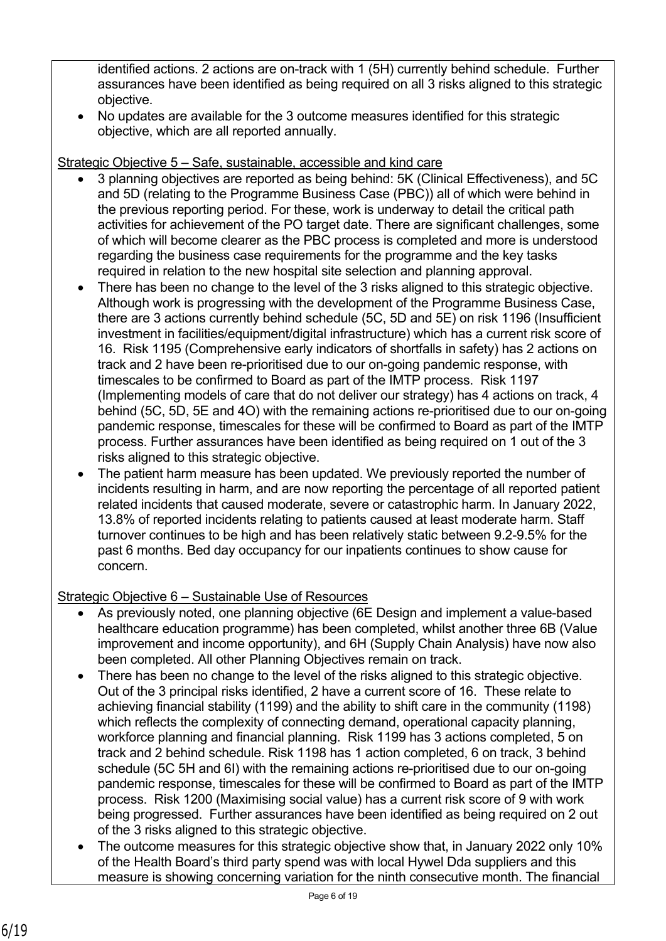identified actions. 2 actions are on-track with 1 (5H) currently behind schedule. Further assurances have been identified as being required on all 3 risks aligned to this strategic objective.

 No updates are available for the 3 outcome measures identified for this strategic objective, which are all reported annually.

Strategic Objective 5 – Safe, sustainable, accessible and kind care

- 3 planning objectives are reported as being behind: 5K (Clinical Effectiveness), and 5C and 5D (relating to the Programme Business Case (PBC)) all of which were behind in the previous reporting period. For these, work is underway to detail the critical path activities for achievement of the PO target date. There are significant challenges, some of which will become clearer as the PBC process is completed and more is understood regarding the business case requirements for the programme and the key tasks required in relation to the new hospital site selection and planning approval.
- There has been no change to the level of the 3 risks aligned to this strategic objective. Although work is progressing with the development of the Programme Business Case, there are 3 actions currently behind schedule (5C, 5D and 5E) on risk 1196 (Insufficient investment in facilities/equipment/digital infrastructure) which has a current risk score of 16. Risk 1195 (Comprehensive early indicators of shortfalls in safety) has 2 actions on track and 2 have been re-prioritised due to our on-going pandemic response, with timescales to be confirmed to Board as part of the IMTP process. Risk 1197 (Implementing models of care that do not deliver our strategy) has 4 actions on track, 4 behind (5C, 5D, 5E and 4O) with the remaining actions re-prioritised due to our on-going pandemic response, timescales for these will be confirmed to Board as part of the IMTP process. Further assurances have been identified as being required on 1 out of the 3 risks aligned to this strategic objective.
- The patient harm measure has been updated. We previously reported the number of incidents resulting in harm, and are now reporting the percentage of all reported patient related incidents that caused moderate, severe or catastrophic harm. In January 2022, 13.8% of reported incidents relating to patients caused at least moderate harm. Staff turnover continues to be high and has been relatively static between 9.2-9.5% for the past 6 months. Bed day occupancy for our inpatients continues to show cause for concern.

## Strategic Objective 6 – Sustainable Use of Resources

- As previously noted, one planning objective (6E Design and implement a value-based healthcare education programme) has been completed, whilst another three 6B (Value improvement and income opportunity), and 6H (Supply Chain Analysis) have now also been completed. All other Planning Objectives remain on track.
- There has been no change to the level of the risks aligned to this strategic objective. Out of the 3 principal risks identified, 2 have a current score of 16. These relate to achieving financial stability (1199) and the ability to shift care in the community (1198) which reflects the complexity of connecting demand, operational capacity planning, workforce planning and financial planning. Risk 1199 has 3 actions completed, 5 on track and 2 behind schedule. Risk 1198 has 1 action completed, 6 on track, 3 behind schedule (5C 5H and 6I) with the remaining actions re-prioritised due to our on-going pandemic response, timescales for these will be confirmed to Board as part of the IMTP process. Risk 1200 (Maximising social value) has a current risk score of 9 with work being progressed. Further assurances have been identified as being required on 2 out of the 3 risks aligned to this strategic objective.
- The outcome measures for this strategic objective show that, in January 2022 only 10% of the Health Board's third party spend was with local Hywel Dda suppliers and this measure is showing concerning variation for the ninth consecutive month. The financial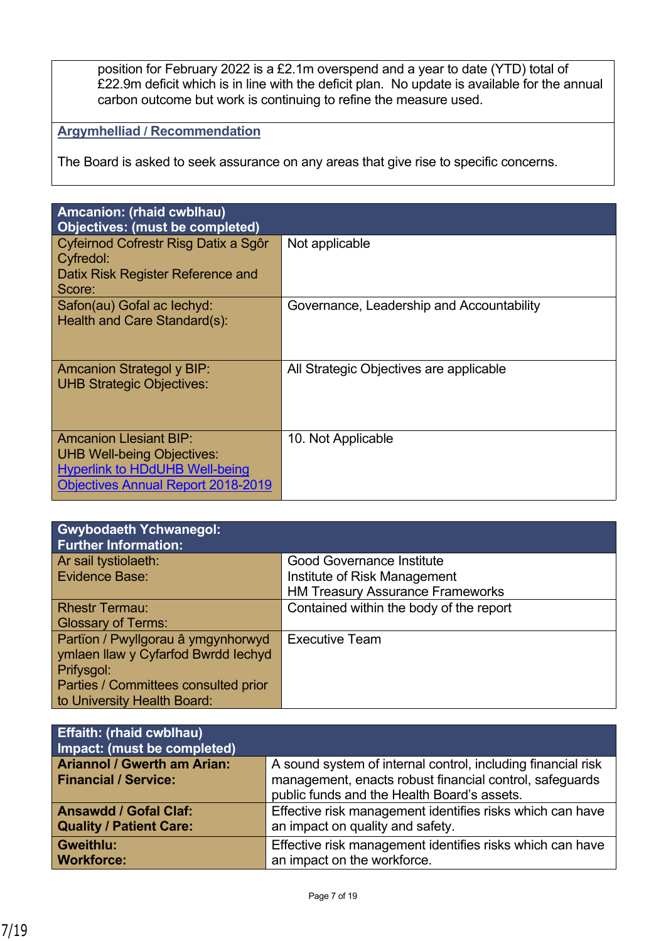position for February 2022 is a £2.1m overspend and a year to date (YTD) total of £22.9m deficit which is in line with the deficit plan. No update is available for the annual carbon outcome but work is continuing to refine the measure used.

# **Argymhelliad / Recommendation**

The Board is asked to seek assurance on any areas that give rise to specific concerns.

| Amcanion: (rhaid cwblhau)<br><b>Objectives: (must be completed)</b>                                                                                      |                                           |
|----------------------------------------------------------------------------------------------------------------------------------------------------------|-------------------------------------------|
| Cyfeirnod Cofrestr Risg Datix a Sgôr<br>Cyfredol:                                                                                                        | Not applicable                            |
| Datix Risk Register Reference and<br>Score:                                                                                                              |                                           |
| Safon(au) Gofal ac lechyd:<br>Health and Care Standard(s):                                                                                               | Governance, Leadership and Accountability |
| <b>Amcanion Strategol y BIP:</b><br><b>UHB Strategic Objectives:</b>                                                                                     | All Strategic Objectives are applicable   |
| <b>Amcanion Llesiant BIP:</b><br><b>UHB Well-being Objectives:</b><br><b>Hyperlink to HDdUHB Well-being</b><br><b>Objectives Annual Report 2018-2019</b> | 10. Not Applicable                        |

| <b>Gwybodaeth Ychwanegol:</b><br><b>Further Information:</b> |                                         |
|--------------------------------------------------------------|-----------------------------------------|
| Ar sail tystiolaeth:                                         | <b>Good Governance Institute</b>        |
| Evidence Base:                                               | Institute of Risk Management            |
|                                                              | <b>HM Treasury Assurance Frameworks</b> |
| <b>Rhestr Termau:</b>                                        | Contained within the body of the report |
| <b>Glossary of Terms:</b>                                    |                                         |
| Partïon / Pwyllgorau â ymgynhorwyd                           | <b>Executive Team</b>                   |
| ymlaen llaw y Cyfarfod Bwrdd lechyd                          |                                         |
| Prifysgol:                                                   |                                         |
| Parties / Committees consulted prior                         |                                         |
| to University Health Board:                                  |                                         |

| <b>Effaith: (rhaid cwblhau)</b><br>Impact: (must be completed) |                                                              |
|----------------------------------------------------------------|--------------------------------------------------------------|
| <b>Ariannol / Gwerth am Arian:</b>                             | A sound system of internal control, including financial risk |
| <b>Financial / Service:</b>                                    | management, enacts robust financial control, safeguards      |
|                                                                | public funds and the Health Board's assets.                  |
| <b>Ansawdd / Gofal Claf:</b>                                   | Effective risk management identifies risks which can have    |
| <b>Quality / Patient Care:</b>                                 | an impact on quality and safety.                             |
| Gweithlu:                                                      | Effective risk management identifies risks which can have    |
| <b>Workforce:</b>                                              | an impact on the workforce.                                  |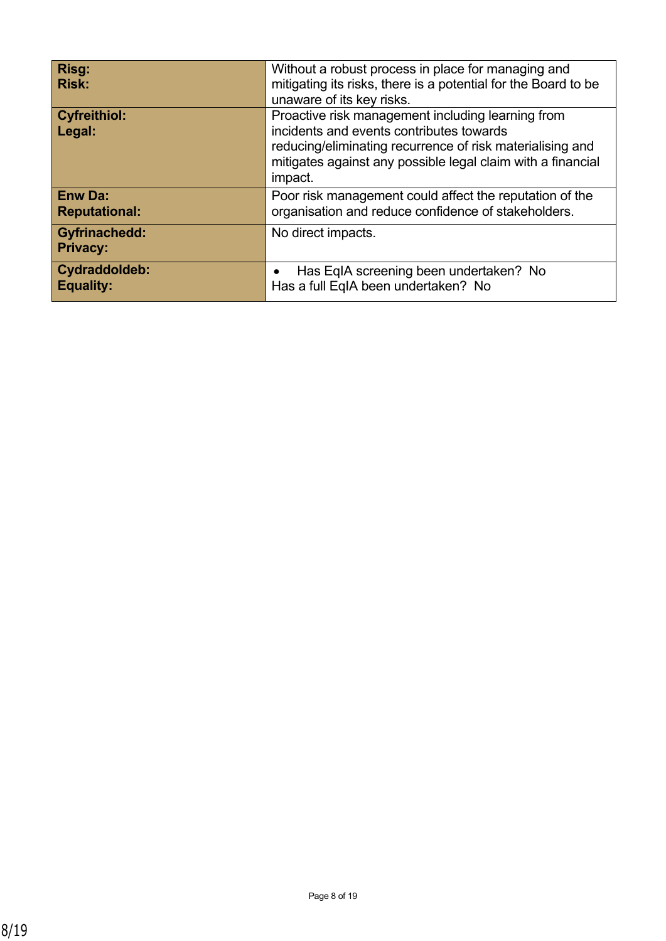| Risg:<br><b>Risk:</b>                   | Without a robust process in place for managing and<br>mitigating its risks, there is a potential for the Board to be<br>unaware of its key risks.                                                                                    |
|-----------------------------------------|--------------------------------------------------------------------------------------------------------------------------------------------------------------------------------------------------------------------------------------|
| <b>Cyfreithiol:</b><br>Legal:           | Proactive risk management including learning from<br>incidents and events contributes towards<br>reducing/eliminating recurrence of risk materialising and<br>mitigates against any possible legal claim with a financial<br>impact. |
| <b>Enw Da:</b><br><b>Reputational:</b>  | Poor risk management could affect the reputation of the<br>organisation and reduce confidence of stakeholders.                                                                                                                       |
| <b>Gyfrinachedd:</b><br><b>Privacy:</b> | No direct impacts.                                                                                                                                                                                                                   |
| Cydraddoldeb:<br><b>Equality:</b>       | Has EqIA screening been undertaken? No<br>Has a full EqIA been undertaken? No                                                                                                                                                        |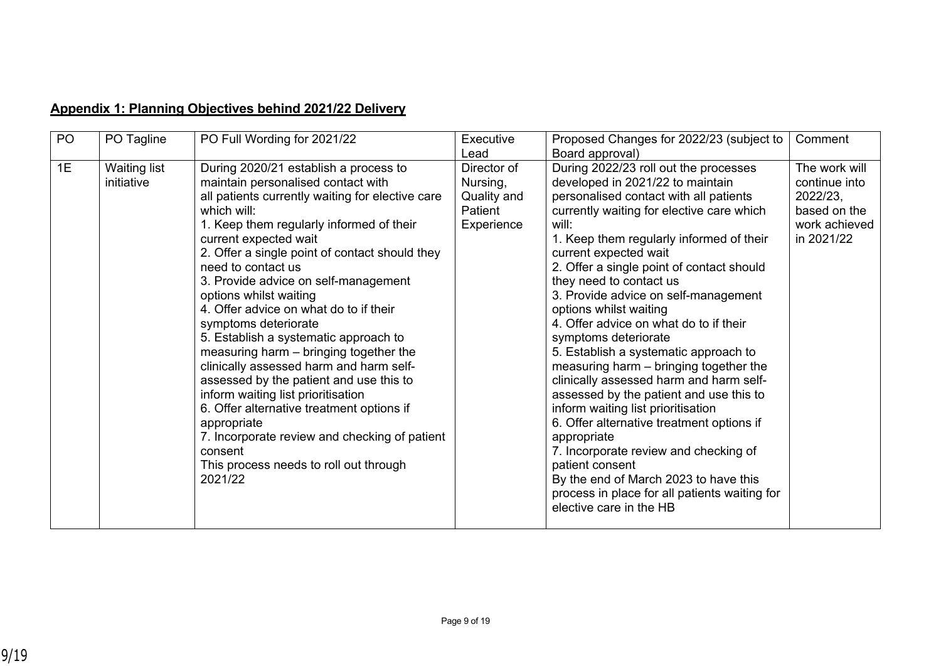## **Appendix 1: Planning Objectives behind 2021/22 Delivery**

| PO | PO Tagline                        | PO Full Wording for 2021/22                                                                                                                                                                                                                                                                                                                                                                                                                                                                                                                                                                                                                                                                                                                                                                                                 | Executive<br>Lead                                               | Proposed Changes for 2022/23 (subject to<br>Board approval)                                                                                                                                                                                                                                                                                                                                                                                                                                                                                                                                                                                                                                                                                                                                                                                                                                                            | Comment                                                                                   |
|----|-----------------------------------|-----------------------------------------------------------------------------------------------------------------------------------------------------------------------------------------------------------------------------------------------------------------------------------------------------------------------------------------------------------------------------------------------------------------------------------------------------------------------------------------------------------------------------------------------------------------------------------------------------------------------------------------------------------------------------------------------------------------------------------------------------------------------------------------------------------------------------|-----------------------------------------------------------------|------------------------------------------------------------------------------------------------------------------------------------------------------------------------------------------------------------------------------------------------------------------------------------------------------------------------------------------------------------------------------------------------------------------------------------------------------------------------------------------------------------------------------------------------------------------------------------------------------------------------------------------------------------------------------------------------------------------------------------------------------------------------------------------------------------------------------------------------------------------------------------------------------------------------|-------------------------------------------------------------------------------------------|
| 1E | <b>Waiting list</b><br>initiative | During 2020/21 establish a process to<br>maintain personalised contact with<br>all patients currently waiting for elective care<br>which will:<br>1. Keep them regularly informed of their<br>current expected wait<br>2. Offer a single point of contact should they<br>need to contact us<br>3. Provide advice on self-management<br>options whilst waiting<br>4. Offer advice on what do to if their<br>symptoms deteriorate<br>5. Establish a systematic approach to<br>measuring harm - bringing together the<br>clinically assessed harm and harm self-<br>assessed by the patient and use this to<br>inform waiting list prioritisation<br>6. Offer alternative treatment options if<br>appropriate<br>7. Incorporate review and checking of patient<br>consent<br>This process needs to roll out through<br>2021/22 | Director of<br>Nursing,<br>Quality and<br>Patient<br>Experience | During 2022/23 roll out the processes<br>developed in 2021/22 to maintain<br>personalised contact with all patients<br>currently waiting for elective care which<br>will:<br>1. Keep them regularly informed of their<br>current expected wait<br>2. Offer a single point of contact should<br>they need to contact us<br>3. Provide advice on self-management<br>options whilst waiting<br>4. Offer advice on what do to if their<br>symptoms deteriorate<br>5. Establish a systematic approach to<br>measuring harm - bringing together the<br>clinically assessed harm and harm self-<br>assessed by the patient and use this to<br>inform waiting list prioritisation<br>6. Offer alternative treatment options if<br>appropriate<br>7. Incorporate review and checking of<br>patient consent<br>By the end of March 2023 to have this<br>process in place for all patients waiting for<br>elective care in the HB | The work will<br>continue into<br>2022/23,<br>based on the<br>work achieved<br>in 2021/22 |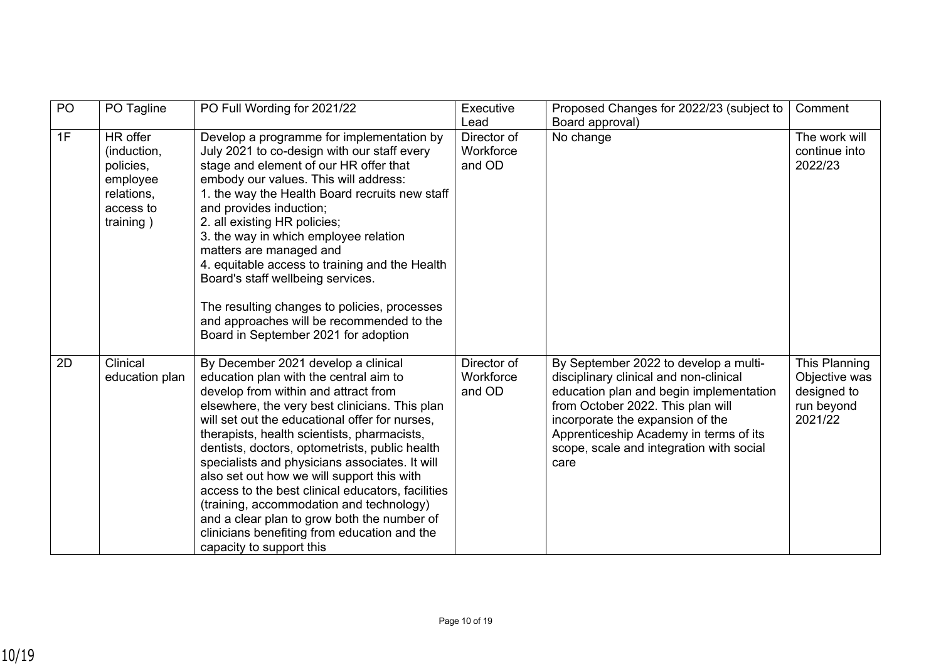| P <sub>O</sub> | PO Tagline                                                                               | PO Full Wording for 2021/22                                                                                                                                                                                                                                                                                                                                                                                                                                                                                                                                                                                                                            | Executive<br>Lead                  | Proposed Changes for 2022/23 (subject to<br>Board approval)                                                                                                                                                                                                                                       | Comment                                                                |
|----------------|------------------------------------------------------------------------------------------|--------------------------------------------------------------------------------------------------------------------------------------------------------------------------------------------------------------------------------------------------------------------------------------------------------------------------------------------------------------------------------------------------------------------------------------------------------------------------------------------------------------------------------------------------------------------------------------------------------------------------------------------------------|------------------------------------|---------------------------------------------------------------------------------------------------------------------------------------------------------------------------------------------------------------------------------------------------------------------------------------------------|------------------------------------------------------------------------|
| 1F             | HR offer<br>(induction,<br>policies,<br>employee<br>relations,<br>access to<br>training) | Develop a programme for implementation by<br>July 2021 to co-design with our staff every<br>stage and element of our HR offer that<br>embody our values. This will address:<br>1. the way the Health Board recruits new staff<br>and provides induction;<br>2. all existing HR policies;<br>3. the way in which employee relation<br>matters are managed and<br>4. equitable access to training and the Health<br>Board's staff wellbeing services.<br>The resulting changes to policies, processes<br>and approaches will be recommended to the<br>Board in September 2021 for adoption                                                               | Director of<br>Workforce<br>and OD | No change                                                                                                                                                                                                                                                                                         | The work will<br>continue into<br>2022/23                              |
| 2D             | Clinical<br>education plan                                                               | By December 2021 develop a clinical<br>education plan with the central aim to<br>develop from within and attract from<br>elsewhere, the very best clinicians. This plan<br>will set out the educational offer for nurses,<br>therapists, health scientists, pharmacists,<br>dentists, doctors, optometrists, public health<br>specialists and physicians associates. It will<br>also set out how we will support this with<br>access to the best clinical educators, facilities<br>(training, accommodation and technology)<br>and a clear plan to grow both the number of<br>clinicians benefiting from education and the<br>capacity to support this | Director of<br>Workforce<br>and OD | By September 2022 to develop a multi-<br>disciplinary clinical and non-clinical<br>education plan and begin implementation<br>from October 2022. This plan will<br>incorporate the expansion of the<br>Apprenticeship Academy in terms of its<br>scope, scale and integration with social<br>care | This Planning<br>Objective was<br>designed to<br>run beyond<br>2021/22 |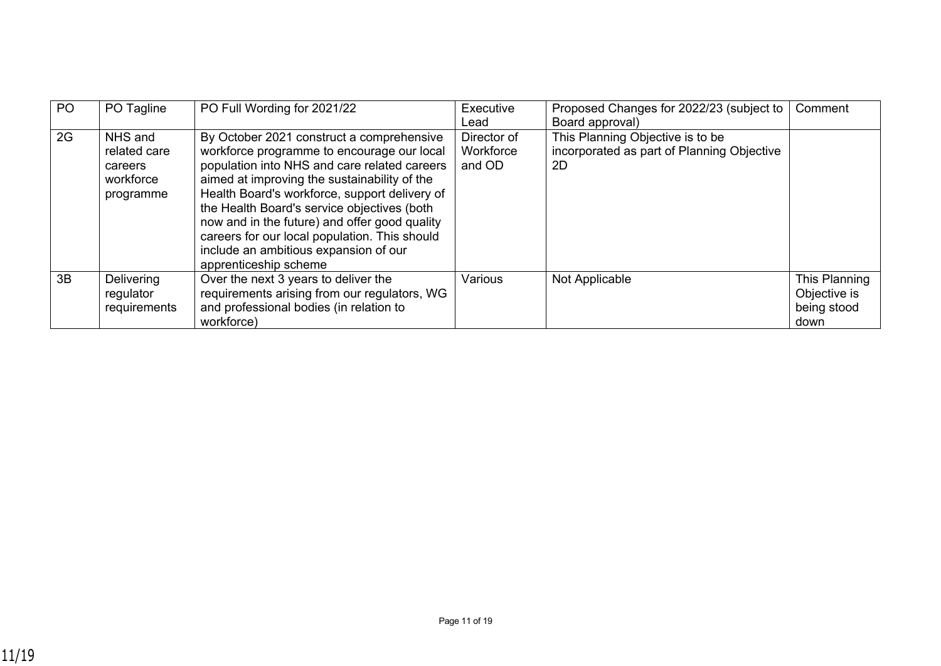| P <sub>O</sub> | PO Tagline                                                   | PO Full Wording for 2021/22                                                                                                                                                                                                                                                                                                                                                                                                                                 | Executive<br>Lead                  | Proposed Changes for 2022/23 (subject to<br>Board approval)                          | Comment                                              |
|----------------|--------------------------------------------------------------|-------------------------------------------------------------------------------------------------------------------------------------------------------------------------------------------------------------------------------------------------------------------------------------------------------------------------------------------------------------------------------------------------------------------------------------------------------------|------------------------------------|--------------------------------------------------------------------------------------|------------------------------------------------------|
| 2G             | NHS and<br>related care<br>careers<br>workforce<br>programme | By October 2021 construct a comprehensive<br>workforce programme to encourage our local<br>population into NHS and care related careers<br>aimed at improving the sustainability of the<br>Health Board's workforce, support delivery of<br>the Health Board's service objectives (both<br>now and in the future) and offer good quality<br>careers for our local population. This should<br>include an ambitious expansion of our<br>apprenticeship scheme | Director of<br>Workforce<br>and OD | This Planning Objective is to be<br>incorporated as part of Planning Objective<br>2D |                                                      |
| 3B             | <b>Delivering</b><br>regulator<br>requirements               | Over the next 3 years to deliver the<br>requirements arising from our regulators, WG<br>and professional bodies (in relation to<br>workforce)                                                                                                                                                                                                                                                                                                               | Various                            | Not Applicable                                                                       | This Planning<br>Objective is<br>being stood<br>down |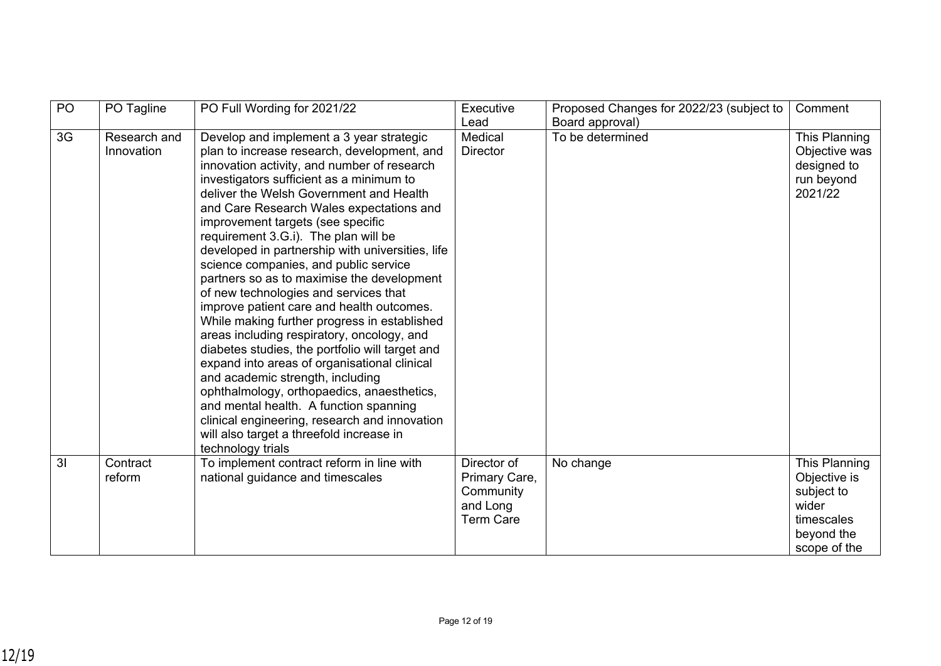| PO             | PO Tagline                 | PO Full Wording for 2021/22                                                                                                                                                                                                                                                                                                                                                                                                                                                                                                                                                                                                                                                                                                                                                                                                                                                                                                                                                                                                            | Executive<br>Lead                                                         | Proposed Changes for 2022/23 (subject to<br>Board approval) | Comment                                                                                          |
|----------------|----------------------------|----------------------------------------------------------------------------------------------------------------------------------------------------------------------------------------------------------------------------------------------------------------------------------------------------------------------------------------------------------------------------------------------------------------------------------------------------------------------------------------------------------------------------------------------------------------------------------------------------------------------------------------------------------------------------------------------------------------------------------------------------------------------------------------------------------------------------------------------------------------------------------------------------------------------------------------------------------------------------------------------------------------------------------------|---------------------------------------------------------------------------|-------------------------------------------------------------|--------------------------------------------------------------------------------------------------|
| 3G             | Research and<br>Innovation | Develop and implement a 3 year strategic<br>plan to increase research, development, and<br>innovation activity, and number of research<br>investigators sufficient as a minimum to<br>deliver the Welsh Government and Health<br>and Care Research Wales expectations and<br>improvement targets (see specific<br>requirement 3.G.i). The plan will be<br>developed in partnership with universities, life<br>science companies, and public service<br>partners so as to maximise the development<br>of new technologies and services that<br>improve patient care and health outcomes.<br>While making further progress in established<br>areas including respiratory, oncology, and<br>diabetes studies, the portfolio will target and<br>expand into areas of organisational clinical<br>and academic strength, including<br>ophthalmology, orthopaedics, anaesthetics,<br>and mental health. A function spanning<br>clinical engineering, research and innovation<br>will also target a threefold increase in<br>technology trials | Medical<br><b>Director</b>                                                | To be determined                                            | This Planning<br>Objective was<br>designed to<br>run beyond<br>2021/22                           |
| $\overline{3}$ | Contract<br>reform         | To implement contract reform in line with<br>national guidance and timescales                                                                                                                                                                                                                                                                                                                                                                                                                                                                                                                                                                                                                                                                                                                                                                                                                                                                                                                                                          | Director of<br>Primary Care,<br>Community<br>and Long<br><b>Term Care</b> | No change                                                   | This Planning<br>Objective is<br>subject to<br>wider<br>timescales<br>beyond the<br>scope of the |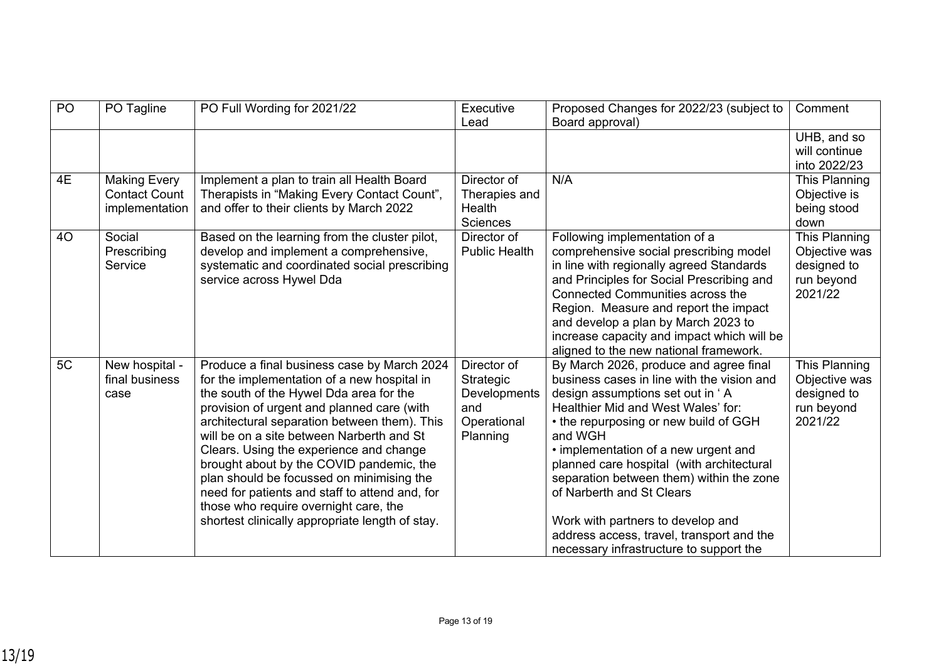| PO | PO Tagline                                                    | PO Full Wording for 2021/22                                                                                                                                                                                                                                                                                                                                                                                                                                                                                                                                        | Executive<br>Lead                                                          | Proposed Changes for 2022/23 (subject to<br>Board approval)                                                                                                                                                                                                                                                                                                                                                                                                                                                   | Comment                                                                |
|----|---------------------------------------------------------------|--------------------------------------------------------------------------------------------------------------------------------------------------------------------------------------------------------------------------------------------------------------------------------------------------------------------------------------------------------------------------------------------------------------------------------------------------------------------------------------------------------------------------------------------------------------------|----------------------------------------------------------------------------|---------------------------------------------------------------------------------------------------------------------------------------------------------------------------------------------------------------------------------------------------------------------------------------------------------------------------------------------------------------------------------------------------------------------------------------------------------------------------------------------------------------|------------------------------------------------------------------------|
|    |                                                               |                                                                                                                                                                                                                                                                                                                                                                                                                                                                                                                                                                    |                                                                            |                                                                                                                                                                                                                                                                                                                                                                                                                                                                                                               | UHB, and so<br>will continue<br>into 2022/23                           |
| 4E | <b>Making Every</b><br><b>Contact Count</b><br>implementation | Implement a plan to train all Health Board<br>Therapists in "Making Every Contact Count",<br>and offer to their clients by March 2022                                                                                                                                                                                                                                                                                                                                                                                                                              | Director of<br>Therapies and<br>Health<br>Sciences                         | N/A                                                                                                                                                                                                                                                                                                                                                                                                                                                                                                           | This Planning<br>Objective is<br>being stood<br>down                   |
| 40 | Social<br>Prescribing<br>Service                              | Based on the learning from the cluster pilot,<br>develop and implement a comprehensive,<br>systematic and coordinated social prescribing<br>service across Hywel Dda                                                                                                                                                                                                                                                                                                                                                                                               | Director of<br><b>Public Health</b>                                        | Following implementation of a<br>comprehensive social prescribing model<br>in line with regionally agreed Standards<br>and Principles for Social Prescribing and<br>Connected Communities across the<br>Region. Measure and report the impact<br>and develop a plan by March 2023 to<br>increase capacity and impact which will be<br>aligned to the new national framework.                                                                                                                                  | This Planning<br>Objective was<br>designed to<br>run beyond<br>2021/22 |
| 5C | New hospital -<br>final business<br>case                      | Produce a final business case by March 2024<br>for the implementation of a new hospital in<br>the south of the Hywel Dda area for the<br>provision of urgent and planned care (with<br>architectural separation between them). This<br>will be on a site between Narberth and St<br>Clears. Using the experience and change<br>brought about by the COVID pandemic, the<br>plan should be focussed on minimising the<br>need for patients and staff to attend and, for<br>those who require overnight care, the<br>shortest clinically appropriate length of stay. | Director of<br>Strategic<br>Developments<br>and<br>Operational<br>Planning | By March 2026, produce and agree final<br>business cases in line with the vision and<br>design assumptions set out in 'A<br>Healthier Mid and West Wales' for:<br>• the repurposing or new build of GGH<br>and WGH<br>• implementation of a new urgent and<br>planned care hospital (with architectural<br>separation between them) within the zone<br>of Narberth and St Clears<br>Work with partners to develop and<br>address access, travel, transport and the<br>necessary infrastructure to support the | This Planning<br>Objective was<br>designed to<br>run beyond<br>2021/22 |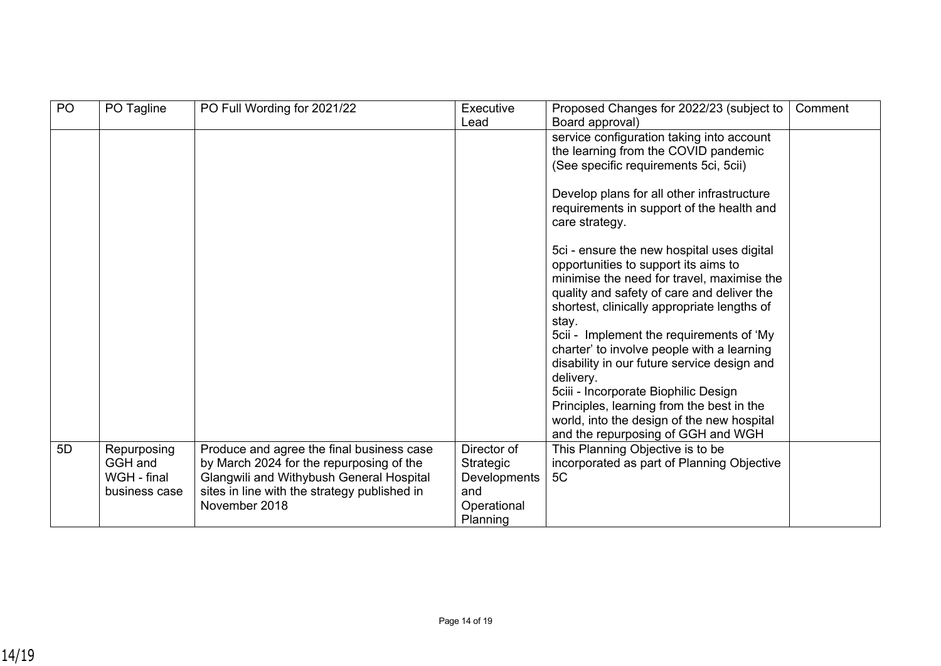| P <sub>O</sub> | PO Tagline                                             | PO Full Wording for 2021/22                                                                                                                                                                        | Executive<br>Lead                                                          | Proposed Changes for 2022/23 (subject to<br>Board approval)                                                                                                                                                                                                                                                                                                                                                                                                                                                                                                           | Comment |
|----------------|--------------------------------------------------------|----------------------------------------------------------------------------------------------------------------------------------------------------------------------------------------------------|----------------------------------------------------------------------------|-----------------------------------------------------------------------------------------------------------------------------------------------------------------------------------------------------------------------------------------------------------------------------------------------------------------------------------------------------------------------------------------------------------------------------------------------------------------------------------------------------------------------------------------------------------------------|---------|
|                |                                                        |                                                                                                                                                                                                    |                                                                            | service configuration taking into account<br>the learning from the COVID pandemic<br>(See specific requirements 5ci, 5cii)                                                                                                                                                                                                                                                                                                                                                                                                                                            |         |
|                |                                                        |                                                                                                                                                                                                    |                                                                            | Develop plans for all other infrastructure<br>requirements in support of the health and<br>care strategy.                                                                                                                                                                                                                                                                                                                                                                                                                                                             |         |
|                |                                                        |                                                                                                                                                                                                    |                                                                            | 5ci - ensure the new hospital uses digital<br>opportunities to support its aims to<br>minimise the need for travel, maximise the<br>quality and safety of care and deliver the<br>shortest, clinically appropriate lengths of<br>stay.<br>5cii - Implement the requirements of 'My<br>charter' to involve people with a learning<br>disability in our future service design and<br>delivery.<br>5ciii - Incorporate Biophilic Design<br>Principles, learning from the best in the<br>world, into the design of the new hospital<br>and the repurposing of GGH and WGH |         |
| 5D             | Repurposing<br>GGH and<br>WGH - final<br>business case | Produce and agree the final business case<br>by March 2024 for the repurposing of the<br>Glangwili and Withybush General Hospital<br>sites in line with the strategy published in<br>November 2018 | Director of<br>Strategic<br>Developments<br>and<br>Operational<br>Planning | This Planning Objective is to be<br>incorporated as part of Planning Objective<br>5C                                                                                                                                                                                                                                                                                                                                                                                                                                                                                  |         |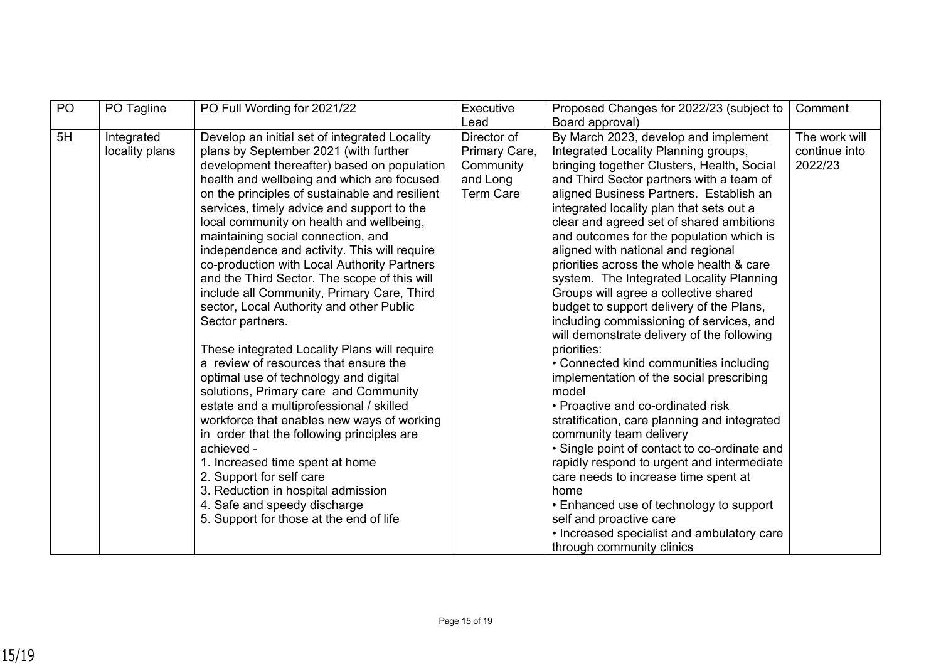| PO | PO Tagline     | PO Full Wording for 2021/22                    | Executive<br>Lead | Proposed Changes for 2022/23 (subject to     | Comment       |
|----|----------------|------------------------------------------------|-------------------|----------------------------------------------|---------------|
|    |                |                                                |                   | Board approval)                              |               |
| 5H | Integrated     | Develop an initial set of integrated Locality  | Director of       | By March 2023, develop and implement         | The work will |
|    | locality plans | plans by September 2021 (with further          | Primary Care,     | Integrated Locality Planning groups,         | continue into |
|    |                | development thereafter) based on population    | Community         | bringing together Clusters, Health, Social   | 2022/23       |
|    |                | health and wellbeing and which are focused     | and Long          | and Third Sector partners with a team of     |               |
|    |                | on the principles of sustainable and resilient | <b>Term Care</b>  | aligned Business Partners. Establish an      |               |
|    |                | services, timely advice and support to the     |                   | integrated locality plan that sets out a     |               |
|    |                | local community on health and wellbeing,       |                   | clear and agreed set of shared ambitions     |               |
|    |                | maintaining social connection, and             |                   | and outcomes for the population which is     |               |
|    |                | independence and activity. This will require   |                   | aligned with national and regional           |               |
|    |                | co-production with Local Authority Partners    |                   | priorities across the whole health & care    |               |
|    |                | and the Third Sector. The scope of this will   |                   | system. The Integrated Locality Planning     |               |
|    |                | include all Community, Primary Care, Third     |                   | Groups will agree a collective shared        |               |
|    |                | sector, Local Authority and other Public       |                   | budget to support delivery of the Plans,     |               |
|    |                | Sector partners.                               |                   | including commissioning of services, and     |               |
|    |                |                                                |                   | will demonstrate delivery of the following   |               |
|    |                | These integrated Locality Plans will require   |                   | priorities:                                  |               |
|    |                | a review of resources that ensure the          |                   | • Connected kind communities including       |               |
|    |                | optimal use of technology and digital          |                   | implementation of the social prescribing     |               |
|    |                | solutions, Primary care and Community          |                   | model                                        |               |
|    |                | estate and a multiprofessional / skilled       |                   | • Proactive and co-ordinated risk            |               |
|    |                | workforce that enables new ways of working     |                   | stratification, care planning and integrated |               |
|    |                | in order that the following principles are     |                   | community team delivery                      |               |
|    |                | achieved -                                     |                   | • Single point of contact to co-ordinate and |               |
|    |                | 1. Increased time spent at home                |                   | rapidly respond to urgent and intermediate   |               |
|    |                | 2. Support for self care                       |                   | care needs to increase time spent at         |               |
|    |                | 3. Reduction in hospital admission             |                   | home                                         |               |
|    |                | 4. Safe and speedy discharge                   |                   | • Enhanced use of technology to support      |               |
|    |                | 5. Support for those at the end of life        |                   | self and proactive care                      |               |
|    |                |                                                |                   | • Increased specialist and ambulatory care   |               |
|    |                |                                                |                   | through community clinics                    |               |
|    |                |                                                |                   |                                              |               |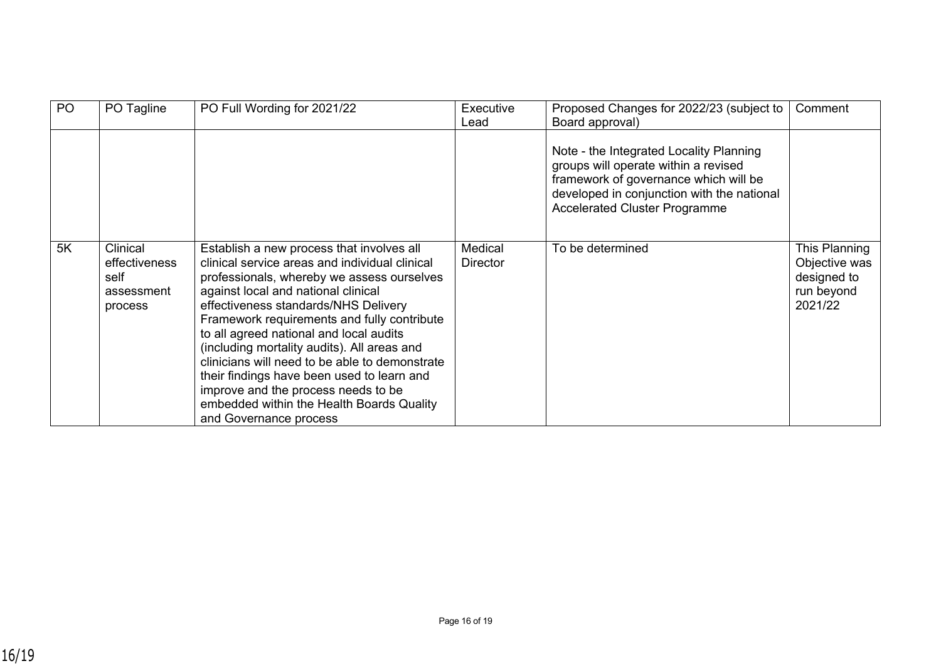| <b>PO</b> | PO Tagline                                                 | PO Full Wording for 2021/22                                                                                                                                                                                                                                                                                                                                                                                                                                                                                                                                                     | Executive<br>Lead          | Proposed Changes for 2022/23 (subject to<br>Board approval)                                                                                                                                                    | Comment                                                                |
|-----------|------------------------------------------------------------|---------------------------------------------------------------------------------------------------------------------------------------------------------------------------------------------------------------------------------------------------------------------------------------------------------------------------------------------------------------------------------------------------------------------------------------------------------------------------------------------------------------------------------------------------------------------------------|----------------------------|----------------------------------------------------------------------------------------------------------------------------------------------------------------------------------------------------------------|------------------------------------------------------------------------|
|           |                                                            |                                                                                                                                                                                                                                                                                                                                                                                                                                                                                                                                                                                 |                            | Note - the Integrated Locality Planning<br>groups will operate within a revised<br>framework of governance which will be<br>developed in conjunction with the national<br><b>Accelerated Cluster Programme</b> |                                                                        |
| 5K        | Clinical<br>effectiveness<br>self<br>assessment<br>process | Establish a new process that involves all<br>clinical service areas and individual clinical<br>professionals, whereby we assess ourselves<br>against local and national clinical<br>effectiveness standards/NHS Delivery<br>Framework requirements and fully contribute<br>to all agreed national and local audits<br>(including mortality audits). All areas and<br>clinicians will need to be able to demonstrate<br>their findings have been used to learn and<br>improve and the process needs to be<br>embedded within the Health Boards Quality<br>and Governance process | Medical<br><b>Director</b> | To be determined                                                                                                                                                                                               | This Planning<br>Objective was<br>designed to<br>run beyond<br>2021/22 |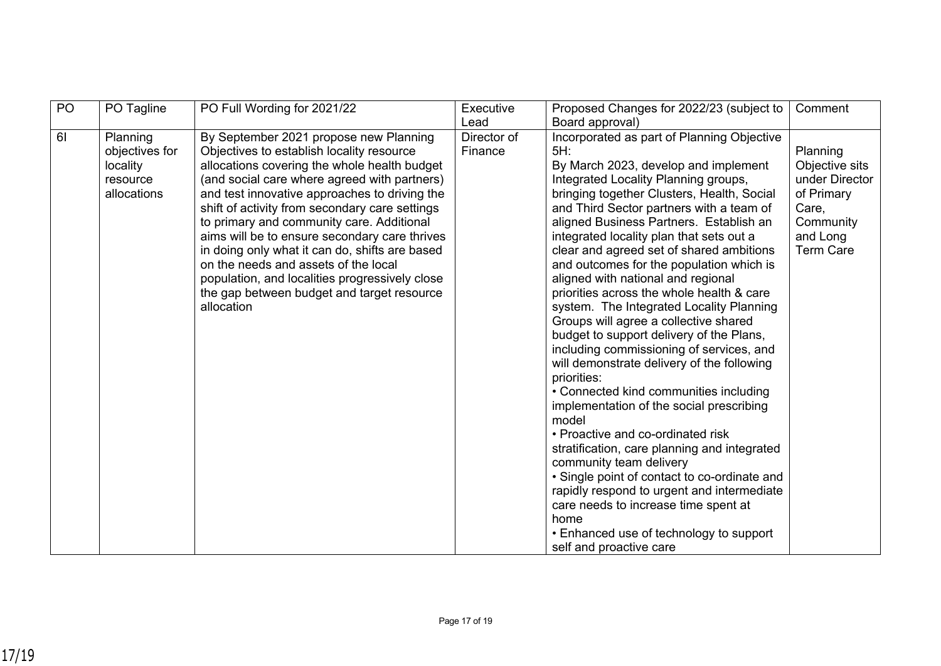| PO | PO Tagline                                                        | PO Full Wording for 2021/22                                                                                                                                                                                                                                                                                                                                                                                                                                                                                                                                                                  | Executive              | Proposed Changes for 2022/23 (subject to                                                                                                                                                                                                                                                                                                                                                                                                                                                                                                                                                                                                                                                                                                                                                                                                                                                                                                                                                                                                                                                                                                        | Comment                                                                                                          |
|----|-------------------------------------------------------------------|----------------------------------------------------------------------------------------------------------------------------------------------------------------------------------------------------------------------------------------------------------------------------------------------------------------------------------------------------------------------------------------------------------------------------------------------------------------------------------------------------------------------------------------------------------------------------------------------|------------------------|-------------------------------------------------------------------------------------------------------------------------------------------------------------------------------------------------------------------------------------------------------------------------------------------------------------------------------------------------------------------------------------------------------------------------------------------------------------------------------------------------------------------------------------------------------------------------------------------------------------------------------------------------------------------------------------------------------------------------------------------------------------------------------------------------------------------------------------------------------------------------------------------------------------------------------------------------------------------------------------------------------------------------------------------------------------------------------------------------------------------------------------------------|------------------------------------------------------------------------------------------------------------------|
|    |                                                                   |                                                                                                                                                                                                                                                                                                                                                                                                                                                                                                                                                                                              | Lead                   | Board approval)                                                                                                                                                                                                                                                                                                                                                                                                                                                                                                                                                                                                                                                                                                                                                                                                                                                                                                                                                                                                                                                                                                                                 |                                                                                                                  |
| 61 | Planning<br>objectives for<br>locality<br>resource<br>allocations | By September 2021 propose new Planning<br>Objectives to establish locality resource<br>allocations covering the whole health budget<br>(and social care where agreed with partners)<br>and test innovative approaches to driving the<br>shift of activity from secondary care settings<br>to primary and community care. Additional<br>aims will be to ensure secondary care thrives<br>in doing only what it can do, shifts are based<br>on the needs and assets of the local<br>population, and localities progressively close<br>the gap between budget and target resource<br>allocation | Director of<br>Finance | Incorporated as part of Planning Objective<br>5H:<br>By March 2023, develop and implement<br>Integrated Locality Planning groups,<br>bringing together Clusters, Health, Social<br>and Third Sector partners with a team of<br>aligned Business Partners. Establish an<br>integrated locality plan that sets out a<br>clear and agreed set of shared ambitions<br>and outcomes for the population which is<br>aligned with national and regional<br>priorities across the whole health & care<br>system. The Integrated Locality Planning<br>Groups will agree a collective shared<br>budget to support delivery of the Plans,<br>including commissioning of services, and<br>will demonstrate delivery of the following<br>priorities:<br>• Connected kind communities including<br>implementation of the social prescribing<br>model<br>• Proactive and co-ordinated risk<br>stratification, care planning and integrated<br>community team delivery<br>• Single point of contact to co-ordinate and<br>rapidly respond to urgent and intermediate<br>care needs to increase time spent at<br>home<br>• Enhanced use of technology to support | Planning<br>Objective sits<br>under Director<br>of Primary<br>Care,<br>Community<br>and Long<br><b>Term Care</b> |
|    |                                                                   |                                                                                                                                                                                                                                                                                                                                                                                                                                                                                                                                                                                              |                        | self and proactive care                                                                                                                                                                                                                                                                                                                                                                                                                                                                                                                                                                                                                                                                                                                                                                                                                                                                                                                                                                                                                                                                                                                         |                                                                                                                  |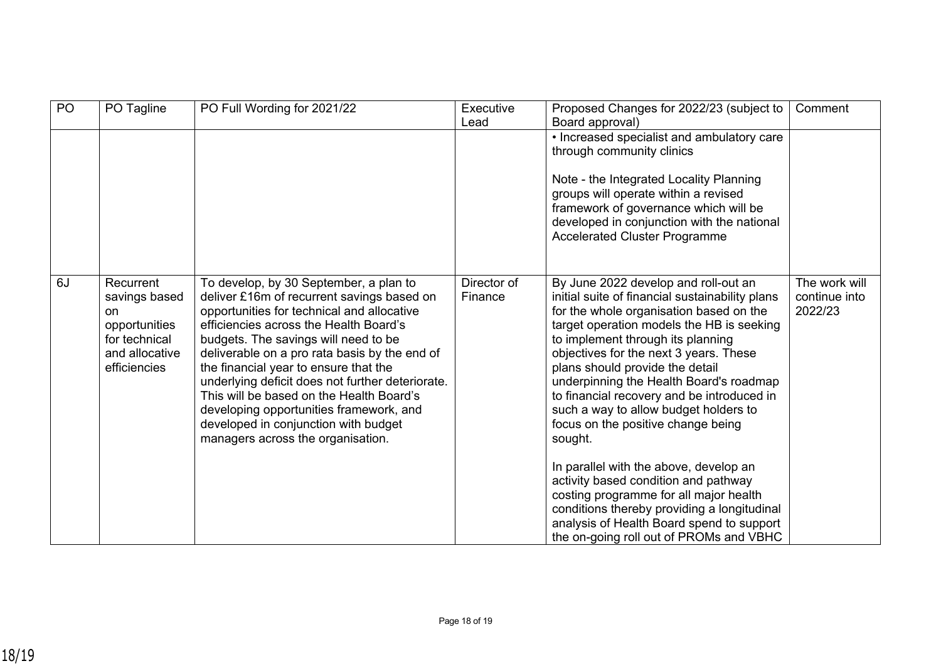| PO | PO Tagline                                                                                           | PO Full Wording for 2021/22                                                                                                                                                                                                                                                                                                                                                                                                                                                                                                            | Executive<br>Lead      | Proposed Changes for 2022/23 (subject to<br>Board approval)                                                                                                                                                                                                                                                                                                                                                                                                                          | Comment                                   |
|----|------------------------------------------------------------------------------------------------------|----------------------------------------------------------------------------------------------------------------------------------------------------------------------------------------------------------------------------------------------------------------------------------------------------------------------------------------------------------------------------------------------------------------------------------------------------------------------------------------------------------------------------------------|------------------------|--------------------------------------------------------------------------------------------------------------------------------------------------------------------------------------------------------------------------------------------------------------------------------------------------------------------------------------------------------------------------------------------------------------------------------------------------------------------------------------|-------------------------------------------|
|    |                                                                                                      |                                                                                                                                                                                                                                                                                                                                                                                                                                                                                                                                        |                        | • Increased specialist and ambulatory care<br>through community clinics                                                                                                                                                                                                                                                                                                                                                                                                              |                                           |
|    |                                                                                                      |                                                                                                                                                                                                                                                                                                                                                                                                                                                                                                                                        |                        | Note - the Integrated Locality Planning<br>groups will operate within a revised<br>framework of governance which will be<br>developed in conjunction with the national<br><b>Accelerated Cluster Programme</b>                                                                                                                                                                                                                                                                       |                                           |
| 6J | Recurrent<br>savings based<br>on<br>opportunities<br>for technical<br>and allocative<br>efficiencies | To develop, by 30 September, a plan to<br>deliver £16m of recurrent savings based on<br>opportunities for technical and allocative<br>efficiencies across the Health Board's<br>budgets. The savings will need to be<br>deliverable on a pro rata basis by the end of<br>the financial year to ensure that the<br>underlying deficit does not further deteriorate.<br>This will be based on the Health Board's<br>developing opportunities framework, and<br>developed in conjunction with budget<br>managers across the organisation. | Director of<br>Finance | By June 2022 develop and roll-out an<br>initial suite of financial sustainability plans<br>for the whole organisation based on the<br>target operation models the HB is seeking<br>to implement through its planning<br>objectives for the next 3 years. These<br>plans should provide the detail<br>underpinning the Health Board's roadmap<br>to financial recovery and be introduced in<br>such a way to allow budget holders to<br>focus on the positive change being<br>sought. | The work will<br>continue into<br>2022/23 |
|    |                                                                                                      |                                                                                                                                                                                                                                                                                                                                                                                                                                                                                                                                        |                        | In parallel with the above, develop an<br>activity based condition and pathway<br>costing programme for all major health<br>conditions thereby providing a longitudinal<br>analysis of Health Board spend to support<br>the on-going roll out of PROMs and VBHC                                                                                                                                                                                                                      |                                           |